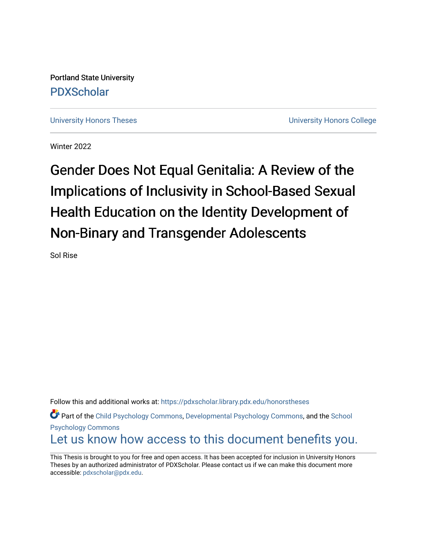Portland State University [PDXScholar](https://pdxscholar.library.pdx.edu/)

[University Honors Theses](https://pdxscholar.library.pdx.edu/honorstheses) **University Honors College** 

Winter 2022

# Gender Does Not Equal Genitalia: A Review of the Implications of Inclusivity in School-Based Sexual Health Education on the Identity Development of Non-Binary and Transgender Adolescents

Sol Rise

Follow this and additional works at: [https://pdxscholar.library.pdx.edu/honorstheses](https://pdxscholar.library.pdx.edu/honorstheses?utm_source=pdxscholar.library.pdx.edu%2Fhonorstheses%2F1&utm_medium=PDF&utm_campaign=PDFCoverPages)  Part of the [Child Psychology Commons,](http://network.bepress.com/hgg/discipline/1023?utm_source=pdxscholar.library.pdx.edu%2Fhonorstheses%2F1&utm_medium=PDF&utm_campaign=PDFCoverPages) [Developmental Psychology Commons,](http://network.bepress.com/hgg/discipline/410?utm_source=pdxscholar.library.pdx.edu%2Fhonorstheses%2F1&utm_medium=PDF&utm_campaign=PDFCoverPages) and the [School](http://network.bepress.com/hgg/discipline/1072?utm_source=pdxscholar.library.pdx.edu%2Fhonorstheses%2F1&utm_medium=PDF&utm_campaign=PDFCoverPages) [Psychology Commons](http://network.bepress.com/hgg/discipline/1072?utm_source=pdxscholar.library.pdx.edu%2Fhonorstheses%2F1&utm_medium=PDF&utm_campaign=PDFCoverPages)  [Let us know how access to this document benefits you.](http://library.pdx.edu/services/pdxscholar-services/pdxscholar-feedback/) 

This Thesis is brought to you for free and open access. It has been accepted for inclusion in University Honors Theses by an authorized administrator of PDXScholar. Please contact us if we can make this document more accessible: [pdxscholar@pdx.edu.](mailto:pdxscholar@pdx.edu)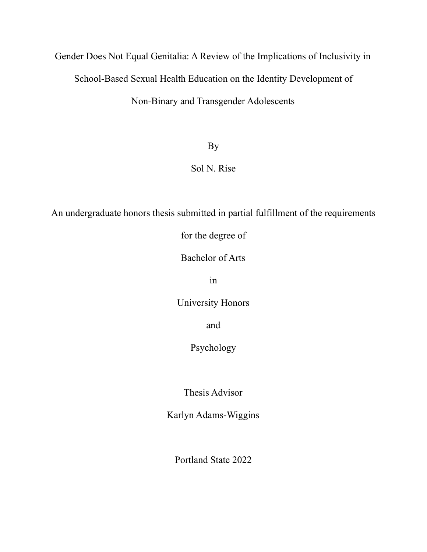Gender Does Not Equal Genitalia: A Review of the Implications of Inclusivity in School-Based Sexual Health Education on the Identity Development of Non-Binary and Transgender Adolescents

By

Sol N. Rise

An undergraduate honors thesis submitted in partial fulfillment of the requirements

for the degree of

Bachelor of Arts

in

University Honors

and

Psychology

Thesis Advisor

Karlyn Adams-Wiggins

Portland State 2022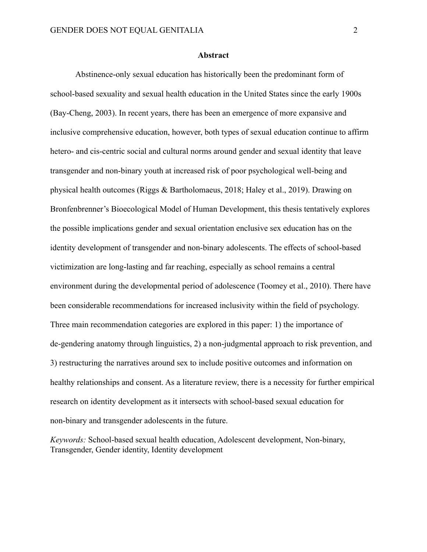## **Abstract**

Abstinence-only sexual education has historically been the predominant form of school-based sexuality and sexual health education in the United States since the early 1900s (Bay-Cheng, 2003). In recent years, there has been an emergence of more expansive and inclusive comprehensive education, however, both types of sexual education continue to affirm hetero- and cis-centric social and cultural norms around gender and sexual identity that leave transgender and non-binary youth at increased risk of poor psychological well-being and physical health outcomes (Riggs & Bartholomaeus, 2018; Haley et al., 2019). Drawing on Bronfenbrenner's Bioecological Model of Human Development, this thesis tentatively explores the possible implications gender and sexual orientation enclusive sex education has on the identity development of transgender and non-binary adolescents. The effects of school-based victimization are long-lasting and far reaching, especially as school remains a central environment during the developmental period of adolescence (Toomey et al., 2010). There have been considerable recommendations for increased inclusivity within the field of psychology. Three main recommendation categories are explored in this paper: 1) the importance of de-gendering anatomy through linguistics, 2) a non-judgmental approach to risk prevention, and 3) restructuring the narratives around sex to include positive outcomes and information on healthy relationships and consent. As a literature review, there is a necessity for further empirical research on identity development as it intersects with school-based sexual education for non-binary and transgender adolescents in the future.

*Keywords:* School-based sexual health education, Adolescent development, Non-binary, Transgender, Gender identity, Identity development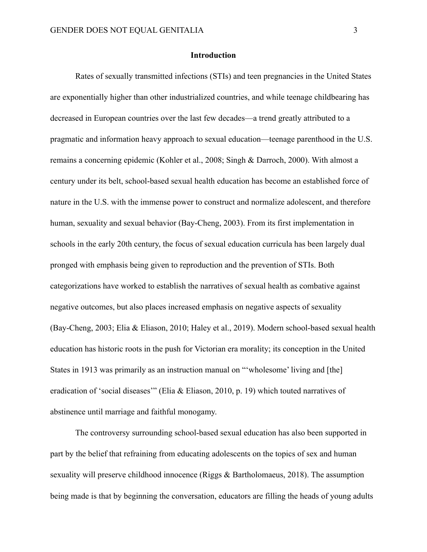## **Introduction**

Rates of sexually transmitted infections (STIs) and teen pregnancies in the United States are exponentially higher than other industrialized countries, and while teenage childbearing has decreased in European countries over the last few decades—a trend greatly attributed to a pragmatic and information heavy approach to sexual education—teenage parenthood in the U.S. remains a concerning epidemic (Kohler et al., 2008; Singh & Darroch, 2000). With almost a century under its belt, school-based sexual health education has become an established force of nature in the U.S. with the immense power to construct and normalize adolescent, and therefore human, sexuality and sexual behavior (Bay-Cheng, 2003). From its first implementation in schools in the early 20th century, the focus of sexual education curricula has been largely dual pronged with emphasis being given to reproduction and the prevention of STIs. Both categorizations have worked to establish the narratives of sexual health as combative against negative outcomes, but also places increased emphasis on negative aspects of sexuality (Bay-Cheng, 2003; Elia & Eliason, 2010; Haley et al., 2019). Modern school-based sexual health education has historic roots in the push for Victorian era morality; its conception in the United States in 1913 was primarily as an instruction manual on "'wholesome' living and [the] eradication of 'social diseases'" (Elia & Eliason, 2010, p. 19) which touted narratives of abstinence until marriage and faithful monogamy.

The controversy surrounding school-based sexual education has also been supported in part by the belief that refraining from educating adolescents on the topics of sex and human sexuality will preserve childhood innocence (Riggs & Bartholomaeus, 2018). The assumption being made is that by beginning the conversation, educators are filling the heads of young adults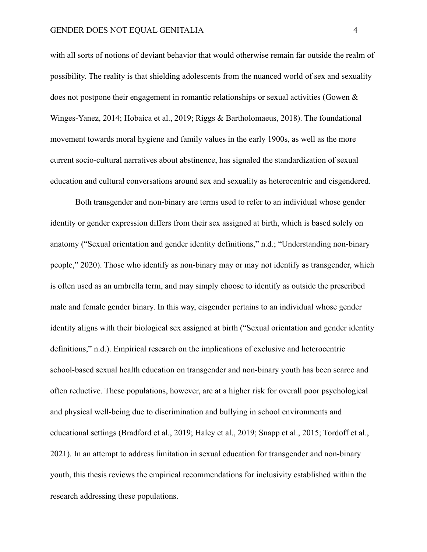with all sorts of notions of deviant behavior that would otherwise remain far outside the realm of possibility. The reality is that shielding adolescents from the nuanced world of sex and sexuality does not postpone their engagement in romantic relationships or sexual activities (Gowen & Winges-Yanez, 2014; Hobaica et al., 2019; Riggs & Bartholomaeus, 2018). The foundational movement towards moral hygiene and family values in the early 1900s, as well as the more current socio-cultural narratives about abstinence, has signaled the standardization of sexual education and cultural conversations around sex and sexuality as heterocentric and cisgendered.

Both transgender and non-binary are terms used to refer to an individual whose gender identity or gender expression differs from their sex assigned at birth, which is based solely on anatomy ("Sexual orientation and gender identity definitions," n.d.; "Understanding non-binary people," 2020). Those who identify as non-binary may or may not identify as transgender, which is often used as an umbrella term, and may simply choose to identify as outside the prescribed male and female gender binary. In this way, cisgender pertains to an individual whose gender identity aligns with their biological sex assigned at birth ("Sexual orientation and gender identity definitions," n.d.). Empirical research on the implications of exclusive and heterocentric school-based sexual health education on transgender and non-binary youth has been scarce and often reductive. These populations, however, are at a higher risk for overall poor psychological and physical well-being due to discrimination and bullying in school environments and educational settings (Bradford et al., 2019; Haley et al., 2019; Snapp et al., 2015; Tordoff et al., 2021). In an attempt to address limitation in sexual education for transgender and non-binary youth, this thesis reviews the empirical recommendations for inclusivity established within the research addressing these populations.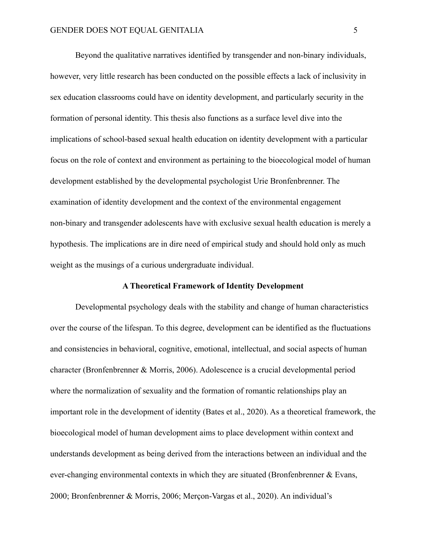Beyond the qualitative narratives identified by transgender and non-binary individuals, however, very little research has been conducted on the possible effects a lack of inclusivity in sex education classrooms could have on identity development, and particularly security in the formation of personal identity. This thesis also functions as a surface level dive into the implications of school-based sexual health education on identity development with a particular focus on the role of context and environment as pertaining to the bioecological model of human development established by the developmental psychologist Urie Bronfenbrenner. The examination of identity development and the context of the environmental engagement non-binary and transgender adolescents have with exclusive sexual health education is merely a hypothesis. The implications are in dire need of empirical study and should hold only as much weight as the musings of a curious undergraduate individual.

## **A Theoretical Framework of Identity Development**

Developmental psychology deals with the stability and change of human characteristics over the course of the lifespan. To this degree, development can be identified as the fluctuations and consistencies in behavioral, cognitive, emotional, intellectual, and social aspects of human character (Bronfenbrenner & Morris, 2006). Adolescence is a crucial developmental period where the normalization of sexuality and the formation of romantic relationships play an important role in the development of identity (Bates et al., 2020). As a theoretical framework, the bioecological model of human development aims to place development within context and understands development as being derived from the interactions between an individual and the ever-changing environmental contexts in which they are situated (Bronfenbrenner & Evans, 2000; Bronfenbrenner & Morris, 2006; Merçon-Vargas et al., 2020). An individual's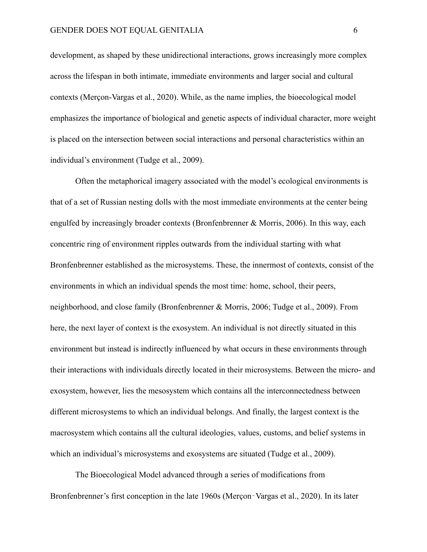development, as shaped by these unidirectional interactions, grows increasingly more complex across the lifespan in both intimate, immediate environments and larger social and cultural contexts (Merçon-Vargas et al., 2020). While, as the name implies, the bioecological model emphasizes the importance of biological and genetic aspects of individual character, more weight is placed on the intersection between social interactions and personal characteristics within an individual's environment (Tudge et al., 2009).

Often the metaphorical imagery associated with the model's ecological environments is that of a set of Russian nesting dolls with the most immediate environments at the center being engulfed by increasingly broader contexts (Bronfenbrenner & Morris, 2006). In this way, each concentric ring of environment ripples outwards from the individual starting with what Bronfenbrenner established as the microsystems. These, the innermost of contexts, consist of the environments in which an individual spends the most time: home, school, their peers, neighborhood, and close family (Bronfenbrenner & Morris, 2006; Tudge et al., 2009). From here, the next layer of context is the exosystem. An individual is not directly situated in this environment but instead is indirectly influenced by what occurs in these environments through their interactions with individuals directly located in their microsystems. Between the micro- and exosystem, however, lies the mesosystem which contains all the interconnectedness between different microsystems to which an individual belongs. And finally, the largest context is the macrosystem which contains all the cultural ideologies, values, customs, and belief systems in which an individual's microsystems and exosystems are situated (Tudge et al., 2009).

The Bioecological Model advanced through a series of modifications from Bronfenbrenner's first conception in the late 1960s (Merçon-Vargas et al., 2020). In its later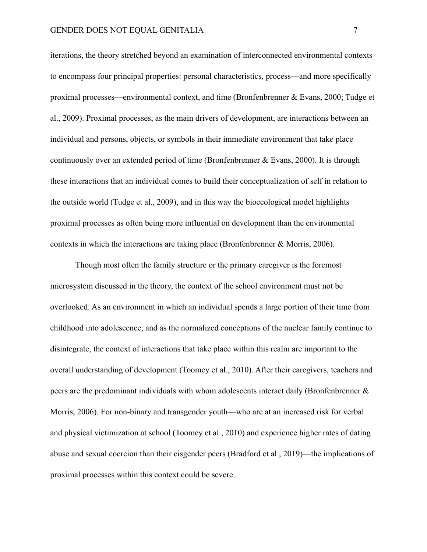iterations, the theory stretched beyond an examination of interconnected environmental contexts to encompass four principal properties: personal characteristics, process—and more specifically proximal processes—environmental context, and time (Bronfenbrenner & Evans, 2000; Tudge et al., 2009). Proximal processes, as the main drivers of development, are interactions between an individual and persons, objects, or symbols in their immediate environment that take place continuously over an extended period of time (Bronfenbrenner  $\&$  Evans, 2000). It is through these interactions that an individual comes to build their conceptualization of self in relation to the outside world (Tudge et al., 2009), and in this way the bioecological model highlights proximal processes as often being more influential on development than the environmental contexts in which the interactions are taking place (Bronfenbrenner & Morris, 2006).

Though most often the family structure or the primary caregiver is the foremost microsystem discussed in the theory, the context of the school environment must not be overlooked. As an environment in which an individual spends a large portion of their time from childhood into adolescence, and as the normalized conceptions of the nuclear family continue to disintegrate, the context of interactions that take place within this realm are important to the overall understanding of development (Toomey et al., 2010). After their caregivers, teachers and peers are the predominant individuals with whom adolescents interact daily (Bronfenbrenner & Morris, 2006). For non-binary and transgender youth—who are at an increased risk for verbal and physical victimization at school (Toomey et al., 2010) and experience higher rates of dating abuse and sexual coercion than their cisgender peers (Bradford et al., 2019)—the implications of proximal processes within this context could be severe.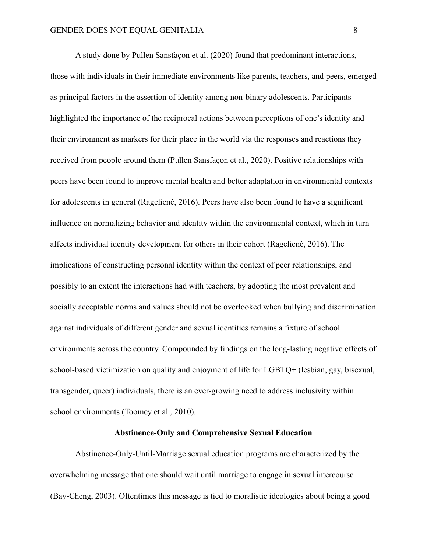A study done by Pullen Sansfaçon et al. (2020) found that predominant interactions, those with individuals in their immediate environments like parents, teachers, and peers, emerged as principal factors in the assertion of identity among non-binary adolescents. Participants highlighted the importance of the reciprocal actions between perceptions of one's identity and their environment as markers for their place in the world via the responses and reactions they received from people around them (Pullen Sansfaçon et al., 2020). Positive relationships with peers have been found to improve mental health and better adaptation in environmental contexts for adolescents in general (Ragelienė, 2016). Peers have also been found to have a significant influence on normalizing behavior and identity within the environmental context, which in turn affects individual identity development for others in their cohort (Ragelienė, 2016). The implications of constructing personal identity within the context of peer relationships, and possibly to an extent the interactions had with teachers, by adopting the most prevalent and socially acceptable norms and values should not be overlooked when bullying and discrimination against individuals of different gender and sexual identities remains a fixture of school environments across the country. Compounded by findings on the long-lasting negative effects of school-based victimization on quality and enjoyment of life for LGBTQ+ (lesbian, gay, bisexual, transgender, queer) individuals, there is an ever-growing need to address inclusivity within school environments (Toomey et al., 2010).

# **Abstinence-Only and Comprehensive Sexual Education**

Abstinence-Only-Until-Marriage sexual education programs are characterized by the overwhelming message that one should wait until marriage to engage in sexual intercourse (Bay-Cheng, 2003). Oftentimes this message is tied to moralistic ideologies about being a good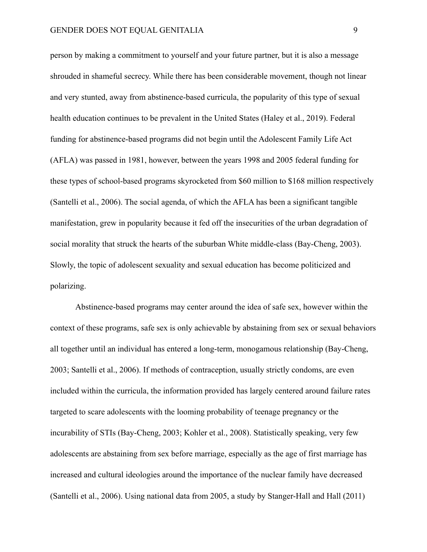person by making a commitment to yourself and your future partner, but it is also a message shrouded in shameful secrecy. While there has been considerable movement, though not linear and very stunted, away from abstinence-based curricula, the popularity of this type of sexual health education continues to be prevalent in the United States (Haley et al., 2019). Federal funding for abstinence-based programs did not begin until the Adolescent Family Life Act (AFLA) was passed in 1981, however, between the years 1998 and 2005 federal funding for these types of school-based programs skyrocketed from \$60 million to \$168 million respectively (Santelli et al., 2006). The social agenda, of which the AFLA has been a significant tangible manifestation, grew in popularity because it fed off the insecurities of the urban degradation of social morality that struck the hearts of the suburban White middle-class (Bay-Cheng, 2003). Slowly, the topic of adolescent sexuality and sexual education has become politicized and polarizing.

Abstinence-based programs may center around the idea of safe sex, however within the context of these programs, safe sex is only achievable by abstaining from sex or sexual behaviors all together until an individual has entered a long-term, monogamous relationship (Bay-Cheng, 2003; Santelli et al., 2006). If methods of contraception, usually strictly condoms, are even included within the curricula, the information provided has largely centered around failure rates targeted to scare adolescents with the looming probability of teenage pregnancy or the incurability of STIs (Bay-Cheng, 2003; Kohler et al., 2008). Statistically speaking, very few adolescents are abstaining from sex before marriage, especially as the age of first marriage has increased and cultural ideologies around the importance of the nuclear family have decreased (Santelli et al., 2006). Using national data from 2005, a study by Stanger-Hall and Hall (2011)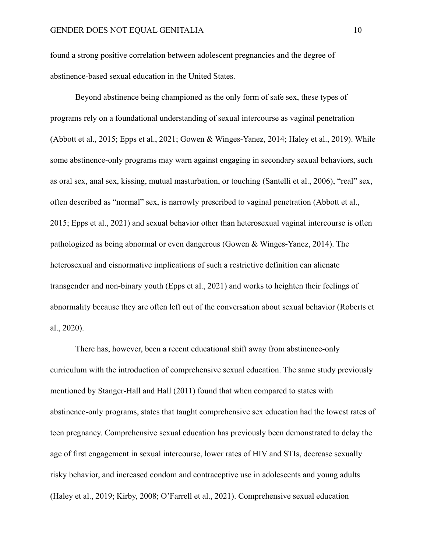found a strong positive correlation between adolescent pregnancies and the degree of abstinence-based sexual education in the United States.

Beyond abstinence being championed as the only form of safe sex, these types of programs rely on a foundational understanding of sexual intercourse as vaginal penetration (Abbott et al., 2015; Epps et al., 2021; Gowen & Winges-Yanez, 2014; Haley et al., 2019). While some abstinence-only programs may warn against engaging in secondary sexual behaviors, such as oral sex, anal sex, kissing, mutual masturbation, or touching (Santelli et al., 2006), "real" sex, often described as "normal" sex, is narrowly prescribed to vaginal penetration (Abbott et al., 2015; Epps et al., 2021) and sexual behavior other than heterosexual vaginal intercourse is often pathologized as being abnormal or even dangerous (Gowen & Winges-Yanez, 2014). The heterosexual and cisnormative implications of such a restrictive definition can alienate transgender and non-binary youth (Epps et al., 2021) and works to heighten their feelings of abnormality because they are often left out of the conversation about sexual behavior (Roberts et al., 2020).

There has, however, been a recent educational shift away from abstinence-only curriculum with the introduction of comprehensive sexual education. The same study previously mentioned by Stanger-Hall and Hall (2011) found that when compared to states with abstinence-only programs, states that taught comprehensive sex education had the lowest rates of teen pregnancy. Comprehensive sexual education has previously been demonstrated to delay the age of first engagement in sexual intercourse, lower rates of HIV and STIs, decrease sexually risky behavior, and increased condom and contraceptive use in adolescents and young adults (Haley et al., 2019; Kirby, 2008; O'Farrell et al., 2021). Comprehensive sexual education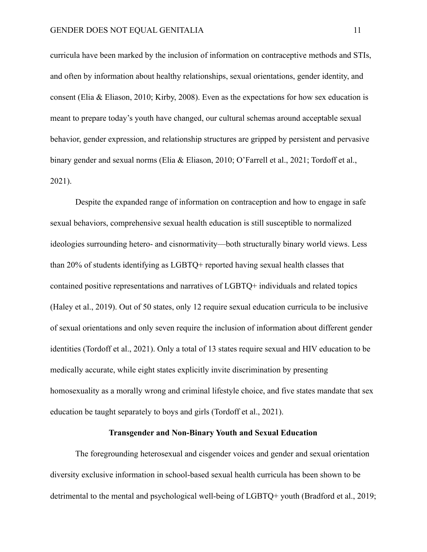curricula have been marked by the inclusion of information on contraceptive methods and STIs, and often by information about healthy relationships, sexual orientations, gender identity, and consent (Elia & Eliason, 2010; Kirby, 2008). Even as the expectations for how sex education is meant to prepare today's youth have changed, our cultural schemas around acceptable sexual behavior, gender expression, and relationship structures are gripped by persistent and pervasive binary gender and sexual norms (Elia & Eliason, 2010; O'Farrell et al., 2021; Tordoff et al., 2021).

Despite the expanded range of information on contraception and how to engage in safe sexual behaviors, comprehensive sexual health education is still susceptible to normalized ideologies surrounding hetero- and cisnormativity—both structurally binary world views. Less than 20% of students identifying as LGBTQ+ reported having sexual health classes that contained positive representations and narratives of LGBTQ+ individuals and related topics (Haley et al., 2019). Out of 50 states, only 12 require sexual education curricula to be inclusive of sexual orientations and only seven require the inclusion of information about different gender identities (Tordoff et al., 2021). Only a total of 13 states require sexual and HIV education to be medically accurate, while eight states explicitly invite discrimination by presenting homosexuality as a morally wrong and criminal lifestyle choice, and five states mandate that sex education be taught separately to boys and girls (Tordoff et al., 2021).

# **Transgender and Non-Binary Youth and Sexual Education**

The foregrounding heterosexual and cisgender voices and gender and sexual orientation diversity exclusive information in school-based sexual health curricula has been shown to be detrimental to the mental and psychological well-being of LGBTQ+ youth (Bradford et al., 2019;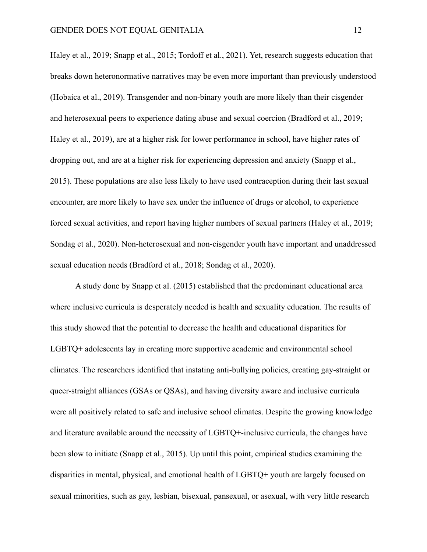Haley et al., 2019; Snapp et al., 2015; Tordoff et al., 2021). Yet, research suggests education that breaks down heteronormative narratives may be even more important than previously understood (Hobaica et al., 2019). Transgender and non-binary youth are more likely than their cisgender and heterosexual peers to experience dating abuse and sexual coercion (Bradford et al., 2019; Haley et al., 2019), are at a higher risk for lower performance in school, have higher rates of dropping out, and are at a higher risk for experiencing depression and anxiety (Snapp et al., 2015). These populations are also less likely to have used contraception during their last sexual encounter, are more likely to have sex under the influence of drugs or alcohol, to experience forced sexual activities, and report having higher numbers of sexual partners (Haley et al., 2019; Sondag et al., 2020). Non-heterosexual and non-cisgender youth have important and unaddressed sexual education needs (Bradford et al., 2018; Sondag et al., 2020).

A study done by Snapp et al. (2015) established that the predominant educational area where inclusive curricula is desperately needed is health and sexuality education. The results of this study showed that the potential to decrease the health and educational disparities for LGBTQ+ adolescents lay in creating more supportive academic and environmental school climates. The researchers identified that instating anti-bullying policies, creating gay-straight or queer-straight alliances (GSAs or QSAs), and having diversity aware and inclusive curricula were all positively related to safe and inclusive school climates. Despite the growing knowledge and literature available around the necessity of LGBTQ+-inclusive curricula, the changes have been slow to initiate (Snapp et al., 2015). Up until this point, empirical studies examining the disparities in mental, physical, and emotional health of LGBTQ+ youth are largely focused on sexual minorities, such as gay, lesbian, bisexual, pansexual, or asexual, with very little research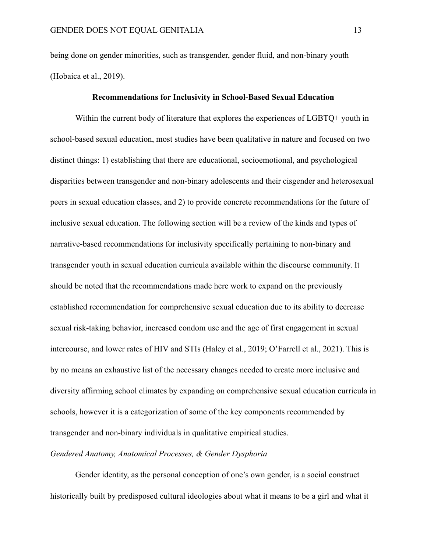being done on gender minorities, such as transgender, gender fluid, and non-binary youth (Hobaica et al., 2019).

# **Recommendations for Inclusivity in School-Based Sexual Education**

Within the current body of literature that explores the experiences of LGBTQ+ youth in school-based sexual education, most studies have been qualitative in nature and focused on two distinct things: 1) establishing that there are educational, socioemotional, and psychological disparities between transgender and non-binary adolescents and their cisgender and heterosexual peers in sexual education classes, and 2) to provide concrete recommendations for the future of inclusive sexual education. The following section will be a review of the kinds and types of narrative-based recommendations for inclusivity specifically pertaining to non-binary and transgender youth in sexual education curricula available within the discourse community. It should be noted that the recommendations made here work to expand on the previously established recommendation for comprehensive sexual education due to its ability to decrease sexual risk-taking behavior, increased condom use and the age of first engagement in sexual intercourse, and lower rates of HIV and STIs (Haley et al., 2019; O'Farrell et al., 2021). This is by no means an exhaustive list of the necessary changes needed to create more inclusive and diversity affirming school climates by expanding on comprehensive sexual education curricula in schools, however it is a categorization of some of the key components recommended by transgender and non-binary individuals in qualitative empirical studies.

# *Gendered Anatomy, Anatomical Processes, & Gender Dysphoria*

Gender identity, as the personal conception of one's own gender, is a social construct historically built by predisposed cultural ideologies about what it means to be a girl and what it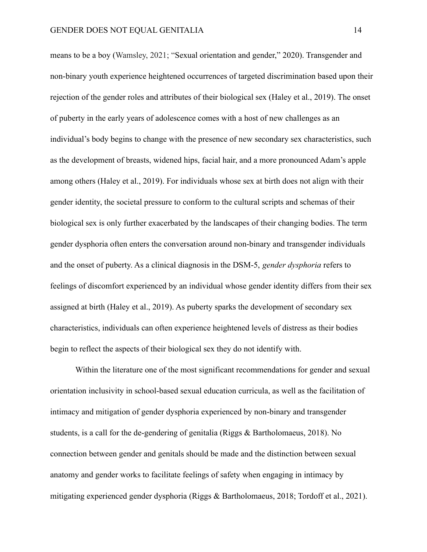means to be a boy (Wamsley, 2021; "Sexual orientation and gender," 2020). Transgender and non-binary youth experience heightened occurrences of targeted discrimination based upon their rejection of the gender roles and attributes of their biological sex (Haley et al., 2019). The onset of puberty in the early years of adolescence comes with a host of new challenges as an individual's body begins to change with the presence of new secondary sex characteristics, such as the development of breasts, widened hips, facial hair, and a more pronounced Adam's apple among others (Haley et al., 2019). For individuals whose sex at birth does not align with their gender identity, the societal pressure to conform to the cultural scripts and schemas of their biological sex is only further exacerbated by the landscapes of their changing bodies. The term gender dysphoria often enters the conversation around non-binary and transgender individuals and the onset of puberty. As a clinical diagnosis in the DSM-5, *gender dysphoria* refers to feelings of discomfort experienced by an individual whose gender identity differs from their sex assigned at birth (Haley et al., 2019). As puberty sparks the development of secondary sex characteristics, individuals can often experience heightened levels of distress as their bodies begin to reflect the aspects of their biological sex they do not identify with.

Within the literature one of the most significant recommendations for gender and sexual orientation inclusivity in school-based sexual education curricula, as well as the facilitation of intimacy and mitigation of gender dysphoria experienced by non-binary and transgender students, is a call for the de-gendering of genitalia (Riggs & Bartholomaeus, 2018). No connection between gender and genitals should be made and the distinction between sexual anatomy and gender works to facilitate feelings of safety when engaging in intimacy by mitigating experienced gender dysphoria (Riggs & Bartholomaeus, 2018; Tordoff et al., 2021).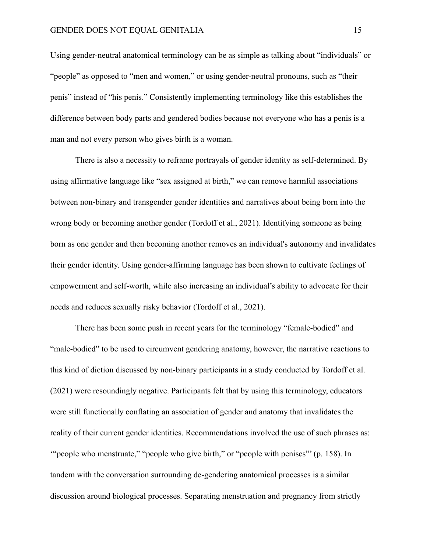Using gender-neutral anatomical terminology can be as simple as talking about "individuals" or "people" as opposed to "men and women," or using gender-neutral pronouns, such as "their penis" instead of "his penis." Consistently implementing terminology like this establishes the difference between body parts and gendered bodies because not everyone who has a penis is a man and not every person who gives birth is a woman.

There is also a necessity to reframe portrayals of gender identity as self-determined. By using affirmative language like "sex assigned at birth," we can remove harmful associations between non-binary and transgender gender identities and narratives about being born into the wrong body or becoming another gender (Tordoff et al., 2021). Identifying someone as being born as one gender and then becoming another removes an individual's autonomy and invalidates their gender identity. Using gender-affirming language has been shown to cultivate feelings of empowerment and self-worth, while also increasing an individual's ability to advocate for their needs and reduces sexually risky behavior (Tordoff et al., 2021).

There has been some push in recent years for the terminology "female-bodied" and "male-bodied" to be used to circumvent gendering anatomy, however, the narrative reactions to this kind of diction discussed by non-binary participants in a study conducted by Tordoff et al. (2021) were resoundingly negative. Participants felt that by using this terminology, educators were still functionally conflating an association of gender and anatomy that invalidates the reality of their current gender identities. Recommendations involved the use of such phrases as: '"people who menstruate," "people who give birth," or "people with penises"' (p. 158). In tandem with the conversation surrounding de-gendering anatomical processes is a similar discussion around biological processes. Separating menstruation and pregnancy from strictly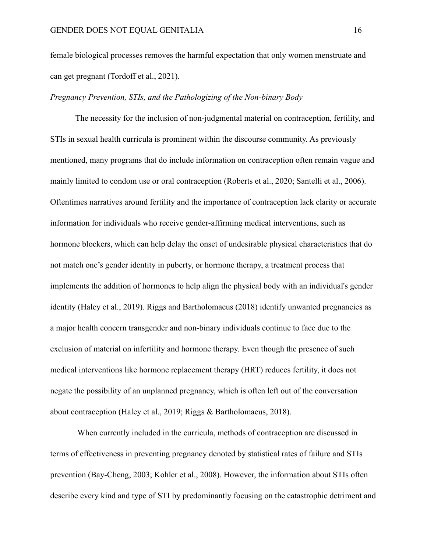female biological processes removes the harmful expectation that only women menstruate and can get pregnant (Tordoff et al., 2021).

# *Pregnancy Prevention, STIs, and the Pathologizing of the Non-binary Body*

The necessity for the inclusion of non-judgmental material on contraception, fertility, and STIs in sexual health curricula is prominent within the discourse community. As previously mentioned, many programs that do include information on contraception often remain vague and mainly limited to condom use or oral contraception (Roberts et al., 2020; Santelli et al., 2006). Oftentimes narratives around fertility and the importance of contraception lack clarity or accurate information for individuals who receive gender-affirming medical interventions, such as hormone blockers, which can help delay the onset of undesirable physical characteristics that do not match one's gender identity in puberty, or hormone therapy, a treatment process that implements the addition of hormones to help align the physical body with an individual's gender identity (Haley et al., 2019). Riggs and Bartholomaeus (2018) identify unwanted pregnancies as a major health concern transgender and non-binary individuals continue to face due to the exclusion of material on infertility and hormone therapy. Even though the presence of such medical interventions like hormone replacement therapy (HRT) reduces fertility, it does not negate the possibility of an unplanned pregnancy, which is often left out of the conversation about contraception (Haley et al., 2019; Riggs & Bartholomaeus, 2018).

When currently included in the curricula, methods of contraception are discussed in terms of effectiveness in preventing pregnancy denoted by statistical rates of failure and STIs prevention (Bay-Cheng, 2003; Kohler et al., 2008). However, the information about STIs often describe every kind and type of STI by predominantly focusing on the catastrophic detriment and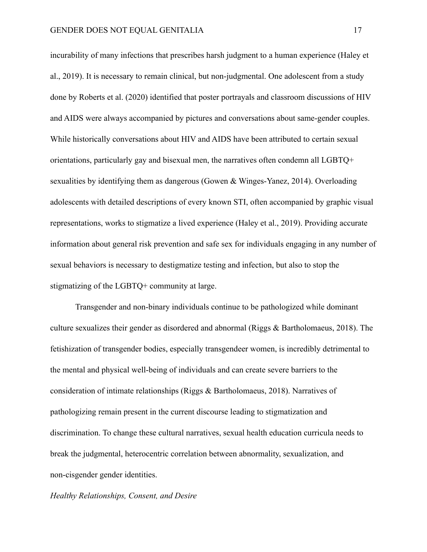incurability of many infections that prescribes harsh judgment to a human experience (Haley et al., 2019). It is necessary to remain clinical, but non-judgmental. One adolescent from a study done by Roberts et al. (2020) identified that poster portrayals and classroom discussions of HIV and AIDS were always accompanied by pictures and conversations about same-gender couples. While historically conversations about HIV and AIDS have been attributed to certain sexual orientations, particularly gay and bisexual men, the narratives often condemn all LGBTQ+ sexualities by identifying them as dangerous (Gowen & Winges-Yanez, 2014). Overloading adolescents with detailed descriptions of every known STI, often accompanied by graphic visual representations, works to stigmatize a lived experience (Haley et al., 2019). Providing accurate information about general risk prevention and safe sex for individuals engaging in any number of sexual behaviors is necessary to destigmatize testing and infection, but also to stop the stigmatizing of the LGBTQ+ community at large.

Transgender and non-binary individuals continue to be pathologized while dominant culture sexualizes their gender as disordered and abnormal (Riggs & Bartholomaeus, 2018). The fetishization of transgender bodies, especially transgendeer women, is incredibly detrimental to the mental and physical well-being of individuals and can create severe barriers to the consideration of intimate relationships (Riggs & Bartholomaeus, 2018). Narratives of pathologizing remain present in the current discourse leading to stigmatization and discrimination. To change these cultural narratives, sexual health education curricula needs to break the judgmental, heterocentric correlation between abnormality, sexualization, and non-cisgender gender identities.

*Healthy Relationships, Consent, and Desire*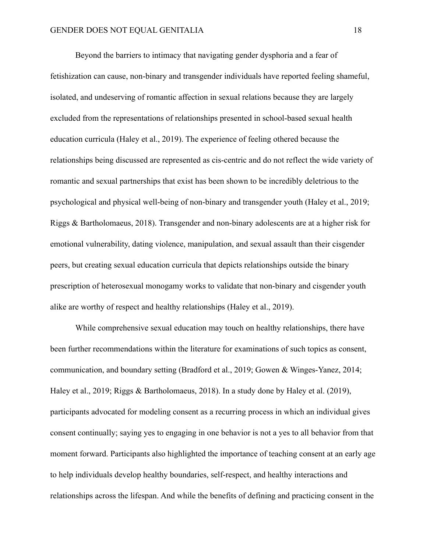Beyond the barriers to intimacy that navigating gender dysphoria and a fear of fetishization can cause, non-binary and transgender individuals have reported feeling shameful, isolated, and undeserving of romantic affection in sexual relations because they are largely excluded from the representations of relationships presented in school-based sexual health education curricula (Haley et al., 2019). The experience of feeling othered because the relationships being discussed are represented as cis-centric and do not reflect the wide variety of romantic and sexual partnerships that exist has been shown to be incredibly deletrious to the psychological and physical well-being of non-binary and transgender youth (Haley et al., 2019; Riggs & Bartholomaeus, 2018). Transgender and non-binary adolescents are at a higher risk for emotional vulnerability, dating violence, manipulation, and sexual assault than their cisgender peers, but creating sexual education curricula that depicts relationships outside the binary prescription of heterosexual monogamy works to validate that non-binary and cisgender youth alike are worthy of respect and healthy relationships (Haley et al., 2019).

While comprehensive sexual education may touch on healthy relationships, there have been further recommendations within the literature for examinations of such topics as consent, communication, and boundary setting (Bradford et al., 2019; Gowen & Winges-Yanez, 2014; Haley et al., 2019; Riggs & Bartholomaeus, 2018). In a study done by Haley et al. (2019), participants advocated for modeling consent as a recurring process in which an individual gives consent continually; saying yes to engaging in one behavior is not a yes to all behavior from that moment forward. Participants also highlighted the importance of teaching consent at an early age to help individuals develop healthy boundaries, self-respect, and healthy interactions and relationships across the lifespan. And while the benefits of defining and practicing consent in the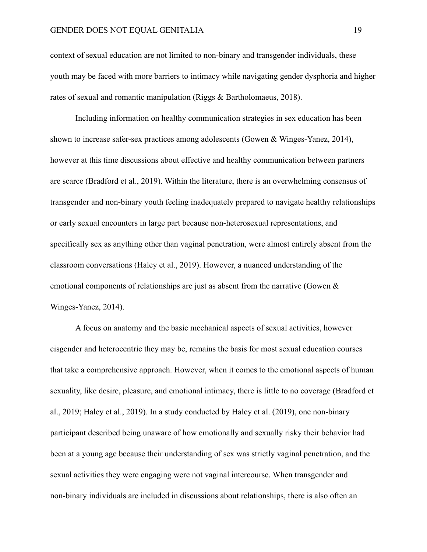context of sexual education are not limited to non-binary and transgender individuals, these youth may be faced with more barriers to intimacy while navigating gender dysphoria and higher rates of sexual and romantic manipulation (Riggs & Bartholomaeus, 2018).

Including information on healthy communication strategies in sex education has been shown to increase safer-sex practices among adolescents (Gowen & Winges-Yanez, 2014), however at this time discussions about effective and healthy communication between partners are scarce (Bradford et al., 2019). Within the literature, there is an overwhelming consensus of transgender and non-binary youth feeling inadequately prepared to navigate healthy relationships or early sexual encounters in large part because non-heterosexual representations, and specifically sex as anything other than vaginal penetration, were almost entirely absent from the classroom conversations (Haley et al., 2019). However, a nuanced understanding of the emotional components of relationships are just as absent from the narrative (Gowen & Winges-Yanez, 2014).

A focus on anatomy and the basic mechanical aspects of sexual activities, however cisgender and heterocentric they may be, remains the basis for most sexual education courses that take a comprehensive approach. However, when it comes to the emotional aspects of human sexuality, like desire, pleasure, and emotional intimacy, there is little to no coverage (Bradford et al., 2019; Haley et al., 2019). In a study conducted by Haley et al. (2019), one non-binary participant described being unaware of how emotionally and sexually risky their behavior had been at a young age because their understanding of sex was strictly vaginal penetration, and the sexual activities they were engaging were not vaginal intercourse. When transgender and non-binary individuals are included in discussions about relationships, there is also often an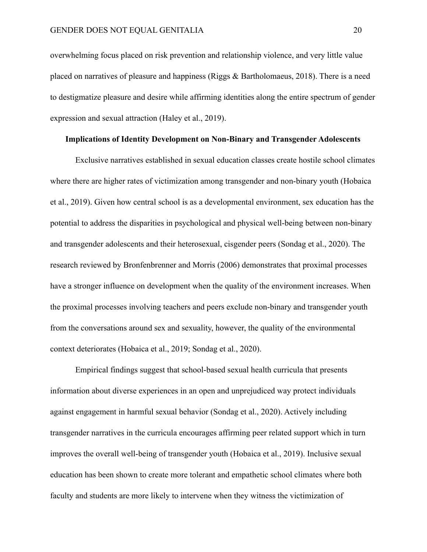overwhelming focus placed on risk prevention and relationship violence, and very little value placed on narratives of pleasure and happiness (Riggs  $\&$  Bartholomaeus, 2018). There is a need to destigmatize pleasure and desire while affirming identities along the entire spectrum of gender expression and sexual attraction (Haley et al., 2019).

# **Implications of Identity Development on Non-Binary and Transgender Adolescents**

Exclusive narratives established in sexual education classes create hostile school climates where there are higher rates of victimization among transgender and non-binary youth (Hobaica et al., 2019). Given how central school is as a developmental environment, sex education has the potential to address the disparities in psychological and physical well-being between non-binary and transgender adolescents and their heterosexual, cisgender peers (Sondag et al., 2020). The research reviewed by Bronfenbrenner and Morris (2006) demonstrates that proximal processes have a stronger influence on development when the quality of the environment increases. When the proximal processes involving teachers and peers exclude non-binary and transgender youth from the conversations around sex and sexuality, however, the quality of the environmental context deteriorates (Hobaica et al., 2019; Sondag et al., 2020).

Empirical findings suggest that school-based sexual health curricula that presents information about diverse experiences in an open and unprejudiced way protect individuals against engagement in harmful sexual behavior (Sondag et al., 2020). Actively including transgender narratives in the curricula encourages affirming peer related support which in turn improves the overall well-being of transgender youth (Hobaica et al., 2019). Inclusive sexual education has been shown to create more tolerant and empathetic school climates where both faculty and students are more likely to intervene when they witness the victimization of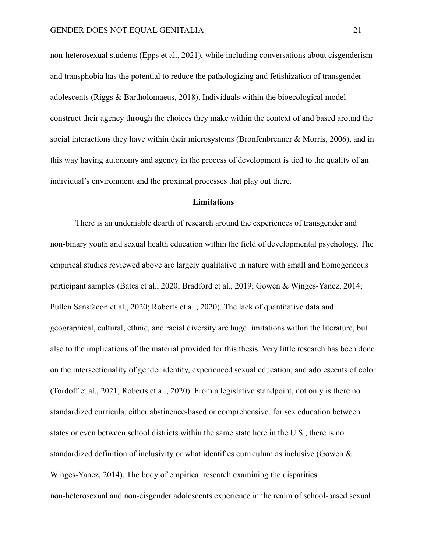non-heterosexual students (Epps et al., 2021), while including conversations about cisgenderism and transphobia has the potential to reduce the pathologizing and fetishization of transgender adolescents (Riggs & Bartholomaeus, 2018). Individuals within the bioecological model construct their agency through the choices they make within the context of and based around the social interactions they have within their microsystems (Bronfenbrenner & Morris, 2006), and in this way having autonomy and agency in the process of development is tied to the quality of an individual's environment and the proximal processes that play out there.

#### **Limitations**

There is an undeniable dearth of research around the experiences of transgender and non-binary youth and sexual health education within the field of developmental psychology. The empirical studies reviewed above are largely qualitative in nature with small and homogeneous participant samples (Bates et al., 2020; Bradford et al., 2019; Gowen & Winges-Yanez, 2014; Pullen Sansfaçon et al., 2020; Roberts et al., 2020). The lack of quantitative data and geographical, cultural, ethnic, and racial diversity are huge limitations within the literature, but also to the implications of the material provided for this thesis. Very little research has been done on the intersectionality of gender identity, experienced sexual education, and adolescents of color (Tordoff et al., 2021; Roberts et al., 2020). From a legislative standpoint, not only is there no standardized curricula, either abstinence-based or comprehensive, for sex education between states or even between school districts within the same state here in the U.S., there is no standardized definition of inclusivity or what identifies curriculum as inclusive (Gowen & Winges-Yanez, 2014). The body of empirical research examining the disparities non-heterosexual and non-cisgender adolescents experience in the realm of school-based sexual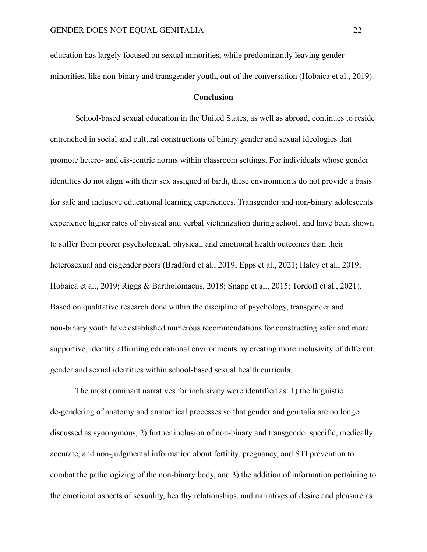education has largely focused on sexual minorities, while predominantly leaving gender minorities, like non-binary and transgender youth, out of the conversation (Hobaica et al., 2019).

# **Conclusion**

School-based sexual education in the United States, as well as abroad, continues to reside entrenched in social and cultural constructions of binary gender and sexual ideologies that promote hetero- and cis-centric norms within classroom settings. For individuals whose gender identities do not align with their sex assigned at birth, these environments do not provide a basis for safe and inclusive educational learning experiences. Transgender and non-binary adolescents experience higher rates of physical and verbal victimization during school, and have been shown to suffer from poorer psychological, physical, and emotional health outcomes than their heterosexual and cisgender peers (Bradford et al., 2019; Epps et al., 2021; Haley et al., 2019; Hobaica et al., 2019; Riggs & Bartholomaeus, 2018; Snapp et al., 2015; Tordoff et al., 2021). Based on qualitative research done within the discipline of psychology, transgender and non-binary youth have established numerous recommendations for constructing safer and more supportive, identity affirming educational environments by creating more inclusivity of different gender and sexual identities within school-based sexual health curricula.

The most dominant narratives for inclusivity were identified as: 1) the linguistic de-gendering of anatomy and anatomical processes so that gender and genitalia are no longer discussed as synonymous, 2) further inclusion of non-binary and transgender specific, medically accurate, and non-judgmental information about fertility, pregnancy, and STI prevention to combat the pathologizing of the non-binary body, and 3) the addition of information pertaining to the emotional aspects of sexuality, healthy relationships, and narratives of desire and pleasure as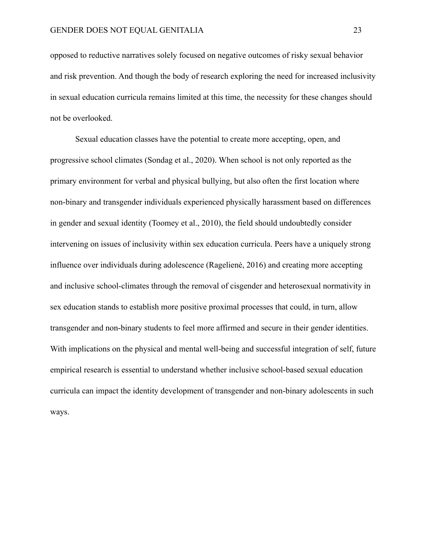opposed to reductive narratives solely focused on negative outcomes of risky sexual behavior and risk prevention. And though the body of research exploring the need for increased inclusivity in sexual education curricula remains limited at this time, the necessity for these changes should not be overlooked.

Sexual education classes have the potential to create more accepting, open, and progressive school climates (Sondag et al., 2020). When school is not only reported as the primary environment for verbal and physical bullying, but also often the first location where non-binary and transgender individuals experienced physically harassment based on differences in gender and sexual identity (Toomey et al., 2010), the field should undoubtedly consider intervening on issues of inclusivity within sex education curricula. Peers have a uniquely strong influence over individuals during adolescence (Ragelienė, 2016) and creating more accepting and inclusive school-climates through the removal of cisgender and heterosexual normativity in sex education stands to establish more positive proximal processes that could, in turn, allow transgender and non-binary students to feel more affirmed and secure in their gender identities. With implications on the physical and mental well-being and successful integration of self, future empirical research is essential to understand whether inclusive school-based sexual education curricula can impact the identity development of transgender and non-binary adolescents in such ways.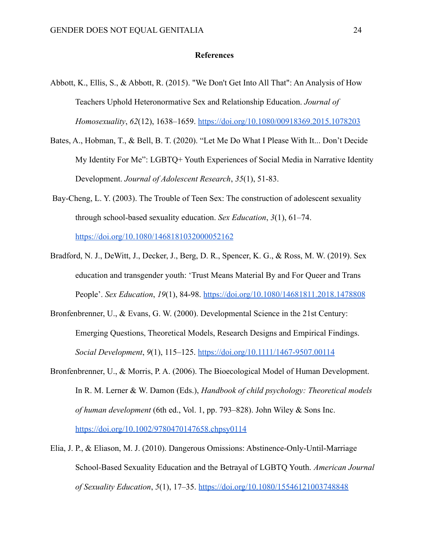## **References**

- Abbott, K., Ellis, S., & Abbott, R. (2015). "We Don't Get Into All That": An Analysis of How Teachers Uphold Heteronormative Sex and Relationship Education. *Journal of Homosexuality*, *62*(12), 1638–1659. <https://doi.org/10.1080/00918369.2015.1078203>
- Bates, A., Hobman, T., & Bell, B. T. (2020). "Let Me Do What I Please With It... Don't Decide My Identity For Me": LGBTQ+ Youth Experiences of Social Media in Narrative Identity Development. *Journal of Adolescent Research*, *35*(1), 51-83.
- Bay-Cheng, L. Y. (2003). The Trouble of Teen Sex: The construction of adolescent sexuality through school-based sexuality education. *Sex Education*, *3*(1), 61–74. <https://doi.org/10.1080/1468181032000052162>
- Bradford, N. J., DeWitt, J., Decker, J., Berg, D. R., Spencer, K. G., & Ross, M. W. (2019). Sex education and transgender youth: 'Trust Means Material By and For Queer and Trans People'. *Sex Education*, *19*(1), 84-98. <https://doi.org/10.1080/14681811.2018.1478808>
- Bronfenbrenner, U., & Evans, G. W. (2000). Developmental Science in the 21st Century: Emerging Questions, Theoretical Models, Research Designs and Empirical Findings. *Social Development*, *9*(1), 115–125. <https://doi.org/10.1111/1467-9507.00114>
- Bronfenbrenner, U., & Morris, P. A. (2006). The Bioecological Model of Human Development. In R. M. Lerner & W. Damon (Eds.), *Handbook of child psychology: Theoretical models of human development* (6th ed., Vol. 1, pp. 793–828). John Wiley & Sons Inc. <https://doi.org/10.1002/9780470147658.chpsy0114>
- Elia, J. P., & Eliason, M. J. (2010). Dangerous Omissions: Abstinence-Only-Until-Marriage School-Based Sexuality Education and the Betrayal of LGBTQ Youth. *American Journal of Sexuality Education*, *5*(1), 17–35. <https://doi.org/10.1080/15546121003748848>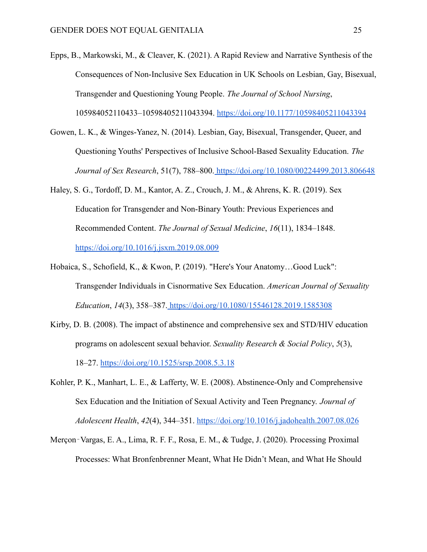Epps, B., Markowski, M., & Cleaver, K. (2021). A Rapid Review and Narrative Synthesis of the Consequences of Non-Inclusive Sex Education in UK Schools on Lesbian, Gay, Bisexual, Transgender and Questioning Young People. *The Journal of School Nursing*, 105984052110433–10598405211043394. https://doi.org/10.1177/10598405211043394

- Gowen, L. K., & Winges-Yanez, N. (2014). Lesbian, Gay, Bisexual, Transgender, Queer, and Questioning Youths' Perspectives of Inclusive School-Based Sexuality Education. *The Journal of Sex Research*, 51(7), 788–800. <https://doi.org/10.1080/00224499.2013.806648>
- Haley, S. G., Tordoff, D. M., Kantor, A. Z., Crouch, J. M., & Ahrens, K. R. (2019). Sex Education for Transgender and Non-Binary Youth: Previous Experiences and Recommended Content. *The Journal of Sexual Medicine*, *16*(11), 1834–1848. <https://doi.org/10.1016/j.jsxm.2019.08.009>
- Hobaica, S., Schofield, K., & Kwon, P. (2019). "Here's Your Anatomy…Good Luck": Transgender Individuals in Cisnormative Sex Education. *American Journal of Sexuality Education*, *14*(3), 358–387. <https://doi.org/10.1080/15546128.2019.1585308>
- Kirby, D. B. (2008). The impact of abstinence and comprehensive sex and STD/HIV education programs on adolescent sexual behavior. *Sexuality Research & Social Policy*, *5*(3), 18–27. <https://doi.org/10.1525/srsp.2008.5.3.18>
- Kohler, P. K., Manhart, L. E., & Lafferty, W. E. (2008). Abstinence-Only and Comprehensive Sex Education and the Initiation of Sexual Activity and Teen Pregnancy. *Journal of Adolescent Health*, *42*(4), 344–351. <https://doi.org/10.1016/j.jadohealth.2007.08.026>
- Merçon‐Vargas, E. A., Lima, R. F. F., Rosa, E. M., & Tudge, J. (2020). Processing Proximal Processes: What Bronfenbrenner Meant, What He Didn't Mean, and What He Should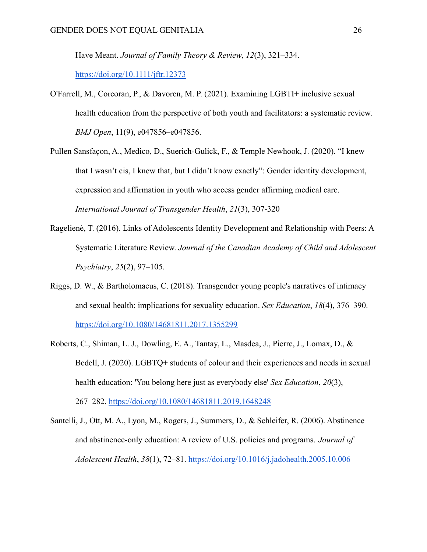Have Meant. *Journal of Family Theory & Review*, *12*(3), 321–334.

<https://doi.org/10.1111/jftr.12373>

- O'Farrell, M., Corcoran, P., & Davoren, M. P. (2021). Examining LGBTI+ inclusive sexual health education from the perspective of both youth and facilitators: a systematic review. *BMJ Open*, 11(9), e047856–e047856.
- Pullen Sansfaçon, A., Medico, D., Suerich-Gulick, F., & Temple Newhook, J. (2020). "I knew that I wasn't cis, I knew that, but I didn't know exactly": Gender identity development, expression and affirmation in youth who access gender affirming medical care. *International Journal of Transgender Health*, *21*(3), 307-320
- Ragelienė, T. (2016). Links of Adolescents Identity Development and Relationship with Peers: A Systematic Literature Review. *Journal of the Canadian Academy of Child and Adolescent Psychiatry*, *25*(2), 97–105.
- Riggs, D. W., & Bartholomaeus, C. (2018). Transgender young people's narratives of intimacy and sexual health: implications for sexuality education. *Sex Education*, *18*(4), 376–390. <https://doi.org/10.1080/14681811.2017.1355299>
- Roberts, C., Shiman, L. J., Dowling, E. A., Tantay, L., Masdea, J., Pierre, J., Lomax, D., & Bedell, J. (2020). LGBTQ+ students of colour and their experiences and needs in sexual health education: 'You belong here just as everybody else' *Sex Education*, *20*(3), 267–282. <https://doi.org/10.1080/14681811.2019.1648248>
- Santelli, J., Ott, M. A., Lyon, M., Rogers, J., Summers, D., & Schleifer, R. (2006). Abstinence and abstinence-only education: A review of U.S. policies and programs. *Journal of Adolescent Health*, *38*(1), 72–81. <https://doi.org/10.1016/j.jadohealth.2005.10.006>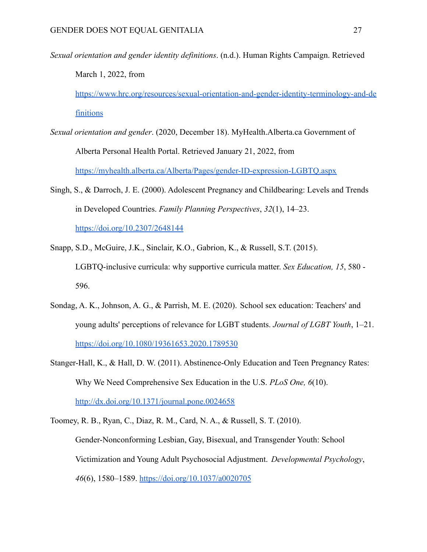*Sexual orientation and gender identity definitions*. (n.d.). Human Rights Campaign. Retrieved March 1, 2022, from

https://www.hrc.org/resources/sexual-orientation-and-gender-identity-terminology-and-de finitions

- *Sexual orientation and gender*. (2020, December 18). MyHealth.Alberta.ca Government of Alberta Personal Health Portal. Retrieved January 21, 2022, from https://myhealth.alberta.ca/Alberta/Pages/gender-ID-expression-LGBTQ.aspx
- Singh, S., & Darroch, J. E. (2000). Adolescent Pregnancy and Childbearing: Levels and Trends in Developed Countries. *Family Planning Perspectives*, *32*(1), 14–23. <https://doi.org/10.2307/2648144>
- Snapp, S.D., McGuire, J.K., Sinclair, K.O., Gabrion, K., & Russell, S.T. (2015). LGBTQ-inclusive curricula: why supportive curricula matter. *Sex Education, 15*, 580 - 596.
- Sondag, A. K., Johnson, A. G., & Parrish, M. E. (2020). School sex education: Teachers' and young adults' perceptions of relevance for LGBT students. *Journal of LGBT Youth*, 1–21. https://doi.org/10.1080/19361653.2020.1789530
- Stanger-Hall, K., & Hall, D. W. (2011). Abstinence-Only Education and Teen Pregnancy Rates: Why We Need Comprehensive Sex Education in the U.S. *PLoS One, 6*(10).

<http://dx.doi.org/10.1371/journal.pone.0024658>

Toomey, R. B., Ryan, C., Diaz, R. M., Card, N. A., & Russell, S. T. (2010). Gender-Nonconforming Lesbian, Gay, Bisexual, and Transgender Youth: School Victimization and Young Adult Psychosocial Adjustment. *Developmental Psychology*, *46*(6), 1580–1589. https://doi.org/10.1037/a0020705